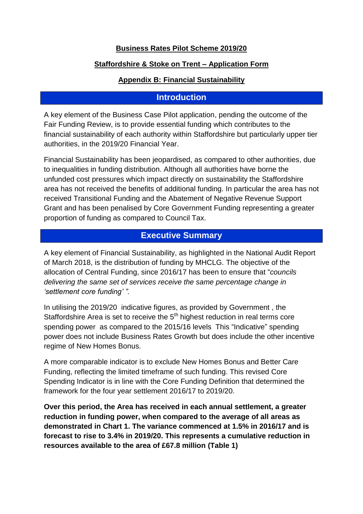### **Business Rates Pilot Scheme 2019/20**

### **Staffordshire & Stoke on Trent – Application Form**

#### **Appendix B: Financial Sustainability**

### **Introduction**

A key element of the Business Case Pilot application, pending the outcome of the Fair Funding Review, is to provide essential funding which contributes to the financial sustainability of each authority within Staffordshire but particularly upper tier authorities, in the 2019/20 Financial Year.

Financial Sustainability has been jeopardised, as compared to other authorities, due to inequalities in funding distribution. Although all authorities have borne the unfunded cost pressures which impact directly on sustainability the Staffordshire area has not received the benefits of additional funding. In particular the area has not received Transitional Funding and the Abatement of Negative Revenue Support Grant and has been penalised by Core Government Funding representing a greater proportion of funding as compared to Council Tax.

### **Executive Summary**

A key element of Financial Sustainability, as highlighted in the National Audit Report of March 2018, is the distribution of funding by MHCLG. The objective of the allocation of Central Funding, since 2016/17 has been to ensure that "*councils delivering the same set of services receive the same percentage change in 'settlement core funding' ".*

In utilising the 2019/20 indicative figures, as provided by Government , the Staffordshire Area is set to receive the  $5<sup>th</sup>$  highest reduction in real terms core spending power as compared to the 2015/16 levels This "Indicative" spending power does not include Business Rates Growth but does include the other incentive regime of New Homes Bonus.

A more comparable indicator is to exclude New Homes Bonus and Better Care Funding, reflecting the limited timeframe of such funding. This revised Core Spending Indicator is in line with the Core Funding Definition that determined the framework for the four year settlement 2016/17 to 2019/20.

**Over this period, the Area has received in each annual settlement, a greater reduction in funding power, when compared to the average of all areas as demonstrated in Chart 1. The variance commenced at 1.5% in 2016/17 and is forecast to rise to 3.4% in 2019/20. This represents a cumulative reduction in resources available to the area of £67.8 million (Table 1)**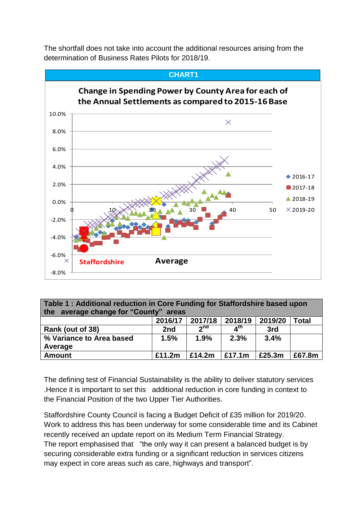

The shortfall does not take into account the additional resources arising from the determination of Business Rates Pilots for 2018/19.

**Table 1 : Additional reduction in Core Funding for Staffordshire based upon the average change for "County" areas** 

| $110$ ardiago change rules comits |         |            |           |         |        |
|-----------------------------------|---------|------------|-----------|---------|--------|
|                                   | 2016/17 | 2017/18    | 2018/19   | 2019/20 | Total  |
| Rank (out of 38)                  | 2nd     | <b>2nd</b> | ⊿th       | 3rd     |        |
| % Variance to Area based          | 1.5%    | 1.9%       | 2.3%      | 3.4%    |        |
| Average                           |         |            |           |         |        |
| <b>Amount</b>                     | £11.2m  | £14.2m     | £17.1 $m$ | £25.3m  | £67.8m |

The defining test of Financial Sustainability is the ability to deliver statutory services .Hence it is important to set this additional reduction in core funding in context to the Financial Position of the two Upper Tier Authorities.

Staffordshire County Council is facing a Budget Deficit of £35 million for 2019/20. Work to address this has been underway for some considerable time and its Cabinet recently received an update report on its Medium Term Financial Strategy. The report emphasised that "the only way it can present a balanced budget is by securing considerable extra funding or a significant reduction in services citizens may expect in core areas such as care, highways and transport".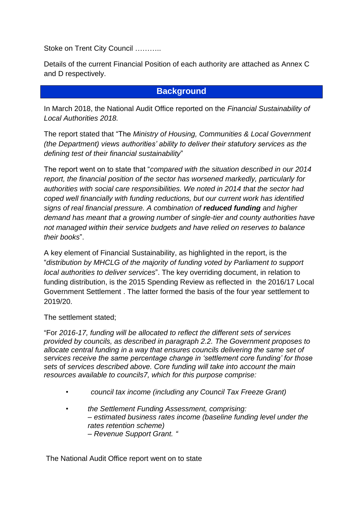Stoke on Trent City Council ………..

Details of the current Financial Position of each authority are attached as Annex C and D respectively.

## **Background**

In March 2018, the National Audit Office reported on the *Financial Sustainability of Local Authorities 2018.*

The report stated that "The *Ministry of Housing, Communities & Local Government (the Department) views authorities' ability to deliver their statutory services as the defining test of their financial sustainability*"

The report went on to state that "*compared with the situation described in our 2014 report, the financial position of the sector has worsened markedly, particularly for authorities with social care responsibilities. We noted in 2014 that the sector had coped well financially with funding reductions, but our current work has identified signs of real financial pressure. A combination of reduced funding and higher demand has meant that a growing number of single-tier and county authorities have not managed within their service budgets and have relied on reserves to balance their books*".

A key element of Financial Sustainability, as highlighted in the report, is the "*distribution by MHCLG of the majority of funding voted by Parliament to support local authorities to deliver services*". The key overriding document, in relation to funding distribution, is the 2015 Spending Review as reflected in the 2016/17 Local Government Settlement . The latter formed the basis of the four year settlement to 2019/20.

The settlement stated;

"For *2016-17, funding will be allocated to reflect the different sets of services provided by councils, as described in paragraph 2.2. The Government proposes to allocate central funding in a way that ensures councils delivering the same set of services receive the same percentage change in 'settlement core funding' for those sets* of *services described above. Core funding will take into account the main resources available to councils7, which for this purpose comprise:* 

- *council tax income (including any Council Tax Freeze Grant)*
- *the Settlement Funding Assessment, comprising: – estimated business rates income (baseline funding level under the rates retention scheme) – Revenue Support Grant. "*

The National Audit Office report went on to state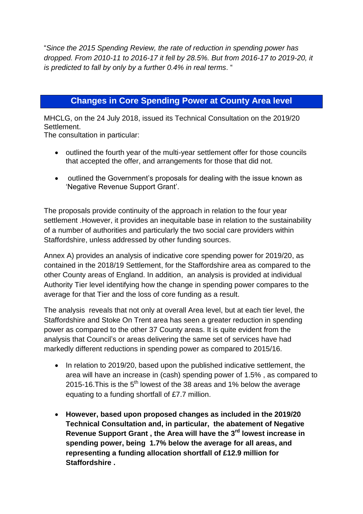"*Since the 2015 Spending Review, the rate of reduction in spending power has dropped. From 2010-11 to 2016-17 it fell by 28.5%. But from 2016-17 to 2019-20, it is predicted to fall by only by a further 0.4% in real terms*. "

# **Changes in Core Spending Power at County Area level**

MHCLG, on the 24 July 2018, issued its Technical Consultation on the 2019/20 Settlement.

The consultation in particular:

- outlined the fourth year of the multi-year settlement offer for those councils that accepted the offer, and arrangements for those that did not.
- outlined the Government's proposals for dealing with the issue known as 'Negative Revenue Support Grant'.

The proposals provide continuity of the approach in relation to the four year settlement .However, it provides an inequitable base in relation to the sustainability of a number of authorities and particularly the two social care providers within Staffordshire, unless addressed by other funding sources.

Annex A) provides an analysis of indicative core spending power for 2019/20, as contained in the 2018/19 Settlement, for the Staffordshire area as compared to the other County areas of England. In addition, an analysis is provided at individual Authority Tier level identifying how the change in spending power compares to the average for that Tier and the loss of core funding as a result.

The analysis reveals that not only at overall Area level, but at each tier level, the Staffordshire and Stoke On Trent area has seen a greater reduction in spending power as compared to the other 37 County areas. It is quite evident from the analysis that Council's or areas delivering the same set of services have had markedly different reductions in spending power as compared to 2015/16.

- In relation to 2019/20, based upon the published indicative settlement, the area will have an increase in (cash) spending power of 1.5% , as compared to 2015-16. This is the  $5<sup>th</sup>$  lowest of the 38 areas and 1% below the average equating to a funding shortfall of £7.7 million.
- **However, based upon proposed changes as included in the 2019/20 Technical Consultation and, in particular, the abatement of Negative Revenue Support Grant , the Area will have the 3rd lowest increase in spending power, being 1.7% below the average for all areas, and representing a funding allocation shortfall of £12.9 million for Staffordshire .**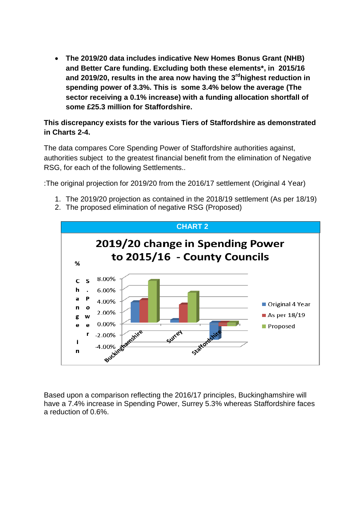**The 2019/20 data includes indicative New Homes Bonus Grant (NHB) and Better Care funding. Excluding both these elements\*, in 2015/16 and 2019/20, results in the area now having the 3 rdhighest reduction in spending power of 3.3%. This is some 3.4% below the average (The sector receiving a 0.1% increase) with a funding allocation shortfall of some £25.3 million for Staffordshire.** 

### **This discrepancy exists for the various Tiers of Staffordshire as demonstrated in Charts 2-4.**

The data compares Core Spending Power of Staffordshire authorities against, authorities subject to the greatest financial benefit from the elimination of Negative RSG, for each of the following Settlements..

:The original projection for 2019/20 from the 2016/17 settlement (Original 4 Year)

- 1. The 2019/20 projection as contained in the 2018/19 settlement (As per 18/19)
- 2. The proposed elimination of negative RSG (Proposed)



Based upon a comparison reflecting the 2016/17 principles, Buckinghamshire will have a 7.4% increase in Spending Power, Surrey 5.3% whereas Staffordshire faces a reduction of 0.6%.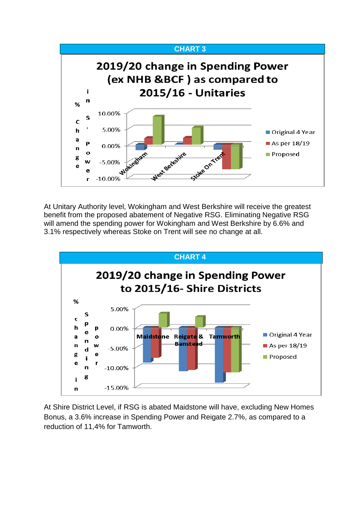

At Unitary Authority level, Wokingham and West Berkshire will receive the greatest benefit from the proposed abatement of Negative RSG. Eliminating Negative RSG will amend the spending power for Wokingham and West Berkshire by 6.6% and 3.1% respectively whereas Stoke on Trent will see no change at all.



At Shire District Level, if RSG is abated Maidstone will have, excluding New Homes Bonus, a 3.6% increase in Spending Power and Reigate 2.7%, as compared to a reduction of 11,4% for Tamworth.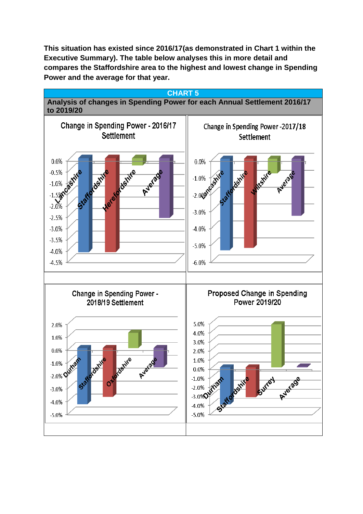**This situation has existed since 2016/17(as demonstrated in Chart 1 within the Executive Summary). The table below analyses this in more detail and compares the Staffordshire area to the highest and lowest change in Spending Power and the average for that year.**

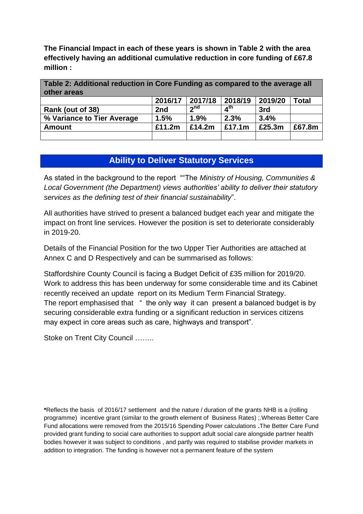**The Financial Impact in each of these years is shown in Table 2 with the area effectively having an additional cumulative reduction in core funding of £67.8 million :**

**Table 2: Additional reduction in Core Funding as compared to the average all other areas** 

|                            | 2016/17 | 2017/18   | 2018/19   | 2019/20 | Total  |
|----------------------------|---------|-----------|-----------|---------|--------|
| Rank (out of 38)           | 2nd     | ്വ nd     | ⊿th       | 3rd     |        |
| % Variance to Tier Average | 1.5%    | 1.9%      | 2.3%      | 3.4%    |        |
| Amount                     | £11.2m  | £14.2 $m$ | £17.1 $m$ | £25.3m  | £67.8m |
|                            |         |           |           |         |        |

# **Ability to Deliver Statutory Services**

As stated in the background to the report ""The *Ministry of Housing, Communities & Local Government (the Department) views authorities' ability to deliver their statutory services as the defining test of their financial sustainability*".

All authorities have strived to present a balanced budget each year and mitigate the impact on front line services. However the position is set to deteriorate considerably in 2019-20.

Details of the Financial Position for the two Upper Tier Authorities are attached at Annex C and D Respectively and can be summarised as follows:

Staffordshire County Council is facing a Budget Deficit of £35 million for 2019/20. Work to address this has been underway for some considerable time and its Cabinet recently received an update report on its Medium Term Financial Strategy. The report emphasised that " the only way it can present a balanced budget is by securing considerable extra funding or a significant reduction in services citizens may expect in core areas such as care, highways and transport".

Stoke on Trent City Council ……..

**\***Reflects the basis of 2016/17 settlement and the nature / duration of the grants NHB is a (rolling programme) incentive grant (similar to the growth element of Business Rates) ;.Whereas Better Care Fund allocations were removed from the 2015/16 Spending Power calculations **.**The Better Care Fund provided grant funding to social care authorities to support adult social care alongside partner health bodies however it was subject to conditions , and partly was required to stabilise provider markets in addition to integration. The funding is however not a permanent feature of the system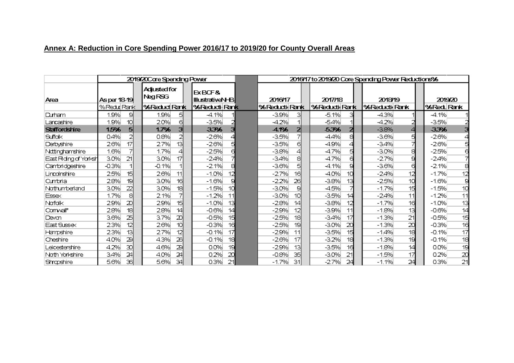# **Annex A: Reduction in Core Spending Power 2016/17 to 2019/20 for County Overall Areas**

|                      | 2019/20Care Spending Power |    |                         |    |                                   | 2016/17 to 2019/20 Core Spending Power Reductions% |                            |     |                  |  |                            |    |               |
|----------------------|----------------------------|----|-------------------------|----|-----------------------------------|----------------------------------------------------|----------------------------|-----|------------------|--|----------------------------|----|---------------|
| Area                 | Asper 18-19                |    | Adjusted for<br>Neg RSG |    | EXBCF&<br><b>IllustrativeN-BI</b> |                                                    | 2016/17                    |     | 2017/18          |  | 201819                     |    | 2019/20       |
|                      | %Reduk Rank                |    | 96 Reduct Rank          |    | 96 Reducti Rank                   |                                                    | %Reducti <sub>l</sub> Rank |     | 96 Reductik Rank |  | %Reducti <sub>l</sub> Rank |    | %Red Rank     |
| Durham               | 1.9%                       | 의  | 1.9%                    | 51 | $-4.1%$                           |                                                    | $-3.9%$                    | з   | $-5.1%$<br>з     |  | $-4.3%$                    |    | -4.1%         |
| Lancashire           | 1.9%                       | 10 | 2.0%                    | 61 | $-3.5%$                           |                                                    | $-4.2\%$                   |     | $-5.4%$          |  | $-4.2\%$                   |    | $-3.5%$       |
| <b>Staffordshire</b> | 1.5%                       | 5  | 1.7%                    | з  | 3.3%                              |                                                    | $-4.1%$                    |     | 5.3%<br>2        |  | $-3.8%$                    |    | 3.3%          |
| Suffalk              | 0.4%                       | 2  | 0.8%                    | 2  | $-2.6%$                           |                                                    | $-3.5%$                    |     | -4.4%<br>a       |  | $-3.6%$                    | 5  | $-2.6%$       |
| Darbyshire           | 2.6%                       | 17 | 2.7%                    | 13 | $-2.6%$                           |                                                    | $-3.5%$                    | 61  | $-4.9%$<br>4     |  | -3.4%                      |    | $-2.6\%$      |
| Nattinghamshire      | 1.6%                       |    | 1.7%                    | 4  | $-2.5%$                           |                                                    | $-3.8%$                    |     | $-4.7%$<br>а     |  | $-3.0%$                    | я  | $-2.5%$       |
| EætRding of Yorksh   | 3.0%                       | 21 | 3.0%                    | 17 | $-2.4%$                           |                                                    | $-3.4%$                    | 81  | $-4.7%$<br>а     |  | $-2.7%$                    |    | $-2.4%$       |
| Cantoridgeshire      | $-0.3%$                    |    | $-0.1%$                 | 11 | $-2.1%$                           |                                                    | $-3.6%$                    |     | $-4.1%$<br>g     |  | $-3.6%$                    | 6  | $-2.1%$       |
| Lincolnshire         | 2.5%                       | 15 | 2.6%                    | 11 | $-1.0%$                           | 12                                                 | $-2.7%$                    | 16  | $-4.0%$<br>10    |  | $-2.4%$                    | 12 | $-1.7%$<br>12 |
| Cuntoria             | 2.8%                       | 19 | 3.0%                    | 16 | $-1.6%$                           |                                                    | $-2.2%$                    | 26  | $-3.8%$<br>13    |  | $-2.5%$                    | 10 | 9<br>$-1.6%$  |
| Nathumberland        | 3.0%                       | 22 | 3.0%                    | 18 | $-1.5%$                           | 10                                                 | $-3.0%$                    | 91  | $-4.5%$          |  | $-1.7%$                    | 15 | 10<br>$-1.5%$ |
| <b>Essex</b>         | 1.7%                       | 8  | 2.1%                    |    | $-1.2%$                           | 11                                                 | $-3.0%$                    | 10  | $-3.5%$<br>14    |  | $-2.4%$                    | 11 | $-1.2%$<br>11 |
| Nafalk               | 2.9%                       | 20 | 2.9%                    | 15 | $-1.0%$                           | 13                                                 | $-2.8%$                    | 141 | $-3.8%$<br>12    |  | $-1.7%$                    | 16 | 13<br>$-1.0%$ |
| Conwall*             | 2.8%                       | 18 | 2.8%                    | 14 | $-0.6%$                           | 14                                                 | $-2.9%$                    | 12  | $-3.9%$<br>11    |  | $-1.8%$                    | 13 | 14<br>$-0.6%$ |
| Devan                | 3.6%                       | 25 | 3.7%                    | 20 | $-0.5%$                           | 15                                                 | $-2.5%$                    | 18  | $-3.4%$<br>17    |  | $-1.3%$                    | 21 | 15<br>$-0.5%$ |
| East Sussex          | 2.3%                       | 12 | 2.6%                    | 10 | $-0.3%$                           | 16                                                 | $-2.5%$                    | 19  | $-3.0%$<br>20    |  | $-1.3%$                    | 20 | 16<br>$-0.3%$ |
| Hampshire            | 2.3%                       | 13 | 2.7%                    | 12 | $-0.1%$                           | 17                                                 | $-2.9%$                    | 11  | $-3.5%$<br>15    |  | $-1.4%$                    | 18 | 17<br>$-0.1%$ |
| Cheshire             | 4.0%                       | 2의 | 4.3%                    | 26 | $-0.1%$                           | 18                                                 | $-2.6%$                    | 17  | $-3.2%$<br>18    |  | $-1.3%$                    | 19 | 18<br>$-0.1%$ |
| Leicestershire       | 4.2%                       | 30 | 4.6%                    | 29 | 0.0%                              | 19                                                 | $-2.9%$                    | -13 | $-3.5%$<br>16    |  | $-1.8%$                    | 14 | 19<br>0.0%    |
| Nath Yarkshire       | 3.4%                       | 24 | 4.0%                    | 24 | 0.2%                              | 20                                                 | $-0.8%$                    | 35  | $-3.0%$<br>21    |  | -1.5%                      | 17 | 20<br>0.2%    |
| Shrapshire           | 5.6%                       | 36 | 5.6%                    | 34 | 0.3%                              | 21                                                 | $-1.7%$                    | 31  | $-2.7%$<br>24    |  | $-1.1%$                    | 24 | 21<br>0.3%    |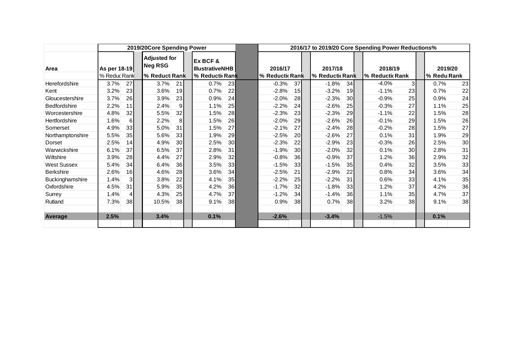|                     | 2019/20Core Spending Power |  |                                       |  |                                    | 2016/17 to 2019/20 Core Spending Power Reductions% |                 |                 |  |                 |                 |                 |                 |  |             |    |
|---------------------|----------------------------|--|---------------------------------------|--|------------------------------------|----------------------------------------------------|-----------------|-----------------|--|-----------------|-----------------|-----------------|-----------------|--|-------------|----|
| Area                | As per 18-19               |  | <b>Adjusted for</b><br><b>Neg RSG</b> |  | Ex BCF &<br><b>IllustrativeNHB</b> |                                                    | 2016/17         |                 |  | 2017/18         |                 | 2018/19         |                 |  | 2019/20     |    |
|                     | % Reduc Rank               |  | % Reduct Rank                         |  | % Reductic Rank                    |                                                    | % Reductic Rank |                 |  | % Reductic Rank |                 | % Reductic Rank |                 |  | % Redu Rank |    |
| Herefordshire       | 3.7%<br>27                 |  | 3.7%<br>21                            |  | 0.7%                               | 23                                                 | $-0.3%$         | 37              |  | $-1.8%$         | 34              | $-4.0\%$        | 31              |  | 0.7%        | 23 |
| Kent                | 3.2%<br>23                 |  | 19<br>3.6%                            |  | 0.7%                               | 22                                                 | $-2.8%$         | 15              |  | $-3.2%$         | 19 <sup>l</sup> | $-1.1%$         | 23              |  | 0.7%        | 22 |
| Gloucestershire     | 3.7%<br>26                 |  | 3.9%<br>23                            |  | 0.9%                               | 24                                                 | $-2.0%$         | 28              |  | $-2.3%$         | 30              | $-0.9%$         | 25              |  | 0.9%        | 24 |
| <b>Bedfordshire</b> | 2.2%<br>11                 |  | $\overline{9}$<br>2.4%                |  | 1.1%                               | 25                                                 | $-2.2%$         | 24              |  | $-2.6%$         | 25              | $-0.3%$         | 27              |  | 1.1%        | 25 |
| Worcestershire      | 4.8%<br>32                 |  | 32<br>5.5%                            |  | 1.5%                               | 28                                                 | $-2.3%$         | 23              |  | $-2.3%$         | 29              | $-1.1%$         | 22              |  | 1.5%        | 28 |
| Hertfordshire       | 1.6%<br>6                  |  | 2.2%<br>8                             |  | 1.5%                               | 26                                                 | $-2.0%$         | 29              |  | $-2.6%$         | 26              | $-0.1%$         | 29              |  | 1.5%        | 26 |
| Somerset            | 33<br>4.9%                 |  | 31<br>5.0%                            |  | 1.5%                               | 27                                                 | $-2.1%$         | 27              |  | $-2.4%$         | 28              | $-0.2%$         | 28              |  | 1.5%        | 27 |
| Northamptonshire    | 5.5%<br>35                 |  | 5.6%<br>33 <sub>l</sub>               |  | 1.9%                               | 29                                                 | $-2.5%$         | <b>20</b>       |  | $-2.6%$         | 27              | 0.1%            | 31              |  | 1.9%        | 29 |
| Dorset              | 2.5%<br>14                 |  | 4.9%<br>30                            |  | 2.5%                               | 30 <sup>1</sup>                                    | $-2.3%$         | 22              |  | $-2.9%$         | 23              | $-0.3%$         | 26              |  | 2.5%        | 30 |
| Warwickshire        | 37<br>6.1%                 |  | 6.5%<br>37                            |  | 2.8%                               | 31                                                 | $-1.9%$         | 30 <sup>l</sup> |  | $-2.0%$         | 32              | 0.1%            | 30              |  | 2.8%        | 31 |
| Wiltshire           | 3.9%<br>28                 |  | 4.4%<br>27                            |  | 2.9%                               | 32                                                 | $-0.8%$         | 36              |  | $-0.9%$         | 37              | 1.2%            | 36              |  | 2.9%        | 32 |
| <b>West Sussex</b>  | 5.4%<br>34                 |  | 6.4%<br>36                            |  | 3.5%                               | 33                                                 | $-1.5%$         | 33              |  | $-1.5%$         | 35              | 0.4%            | 32              |  | 3.5%        | 33 |
| <b>Berkshire</b>    | 2.6%<br>16                 |  | 4.6%<br>28                            |  | 3.6%                               | 34                                                 | $-2.5%$         | 21              |  | $-2.9%$         | 22              | 0.8%            | 34              |  | 3.6%        | 34 |
| Buckinghamshire     | 1.4%<br>31                 |  | 3.8%<br>22                            |  | 4.1%                               | 35                                                 | $-2.2%$         | 25              |  | $-2.2%$         | 31              | 0.6%            | 33              |  | 4.1%        | 35 |
| Oxfordshire         | 31<br>4.5%                 |  | 5.9%<br>35                            |  | 4.2%                               | 36                                                 | $-1.7%$         | 32              |  | $-1.8%$         | 33              | 1.2%            | 37              |  | 4.2%        | 36 |
| Surrey              | 1.4%<br>4                  |  | 4.3%<br>25                            |  | 4.7%                               | 37                                                 | $-1.2%$         | 34              |  | $-1.4%$         | 36              | 1.1%            | 35 <sup>1</sup> |  | 4.7%        | 37 |
| Rutland             | 38<br>7.3%                 |  | 10.5%<br>38                           |  | 9.1%                               | 38                                                 | 0.9%            | 38              |  | 0.7%            | 38              | 3.2%            | 38              |  | 9.1%        | 38 |
| Average             | 2.5%                       |  | 3.4%                                  |  | 0.1%                               |                                                    | $-2.6%$         |                 |  | $-3.4%$         |                 | $-1.5%$         |                 |  | 0.1%        |    |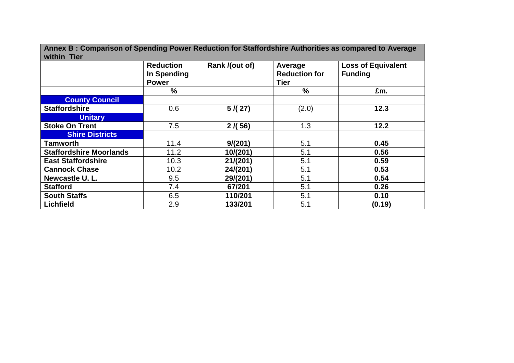| Annex B: Comparison of Spending Power Reduction for Staffordshire Authorities as compared to Average<br>within Tier |                                                 |                |                                         |                                             |  |  |  |  |  |  |
|---------------------------------------------------------------------------------------------------------------------|-------------------------------------------------|----------------|-----------------------------------------|---------------------------------------------|--|--|--|--|--|--|
|                                                                                                                     | <b>Reduction</b><br>In Spending<br><b>Power</b> | Rank /(out of) | Average<br><b>Reduction for</b><br>Tier | <b>Loss of Equivalent</b><br><b>Funding</b> |  |  |  |  |  |  |
|                                                                                                                     | $\frac{9}{6}$                                   |                | $\frac{9}{6}$                           | £m.                                         |  |  |  |  |  |  |
| <b>County Council</b>                                                                                               |                                                 |                |                                         |                                             |  |  |  |  |  |  |
| <b>Staffordshire</b>                                                                                                | 0.6                                             | 5/(27)         | (2.0)                                   | 12.3                                        |  |  |  |  |  |  |
| <b>Unitary</b>                                                                                                      |                                                 |                |                                         |                                             |  |  |  |  |  |  |
| <b>Stoke On Trent</b>                                                                                               | 7.5                                             | 2/(56)         | 1.3                                     | 12.2                                        |  |  |  |  |  |  |
| <b>Shire Districts</b>                                                                                              |                                                 |                |                                         |                                             |  |  |  |  |  |  |
| Tamworth                                                                                                            | 11.4                                            | 9/(201)        | 5.1                                     | 0.45                                        |  |  |  |  |  |  |
| <b>Staffordshire Moorlands</b>                                                                                      | 11.2                                            | 10/(201)       | 5.1                                     | 0.56                                        |  |  |  |  |  |  |
| <b>East Staffordshire</b>                                                                                           | 10.3                                            | 21/(201)       | 5.1                                     | 0.59                                        |  |  |  |  |  |  |
| <b>Cannock Chase</b>                                                                                                | 10.2                                            | 24/(201)       | 5.1                                     | 0.53                                        |  |  |  |  |  |  |
| Newcastle U.L.                                                                                                      | 9.5                                             | 29/(201)       | 5.1                                     | 0.54                                        |  |  |  |  |  |  |
| <b>Stafford</b>                                                                                                     | 7.4                                             | 67/201         | 5.1                                     | 0.26                                        |  |  |  |  |  |  |
| <b>South Staffs</b>                                                                                                 | 6.5                                             | 110/201        | 5.1                                     | 0.10                                        |  |  |  |  |  |  |
| <b>Lichfield</b>                                                                                                    | 2.9                                             | 133/201        | 5.1                                     | (0.19)                                      |  |  |  |  |  |  |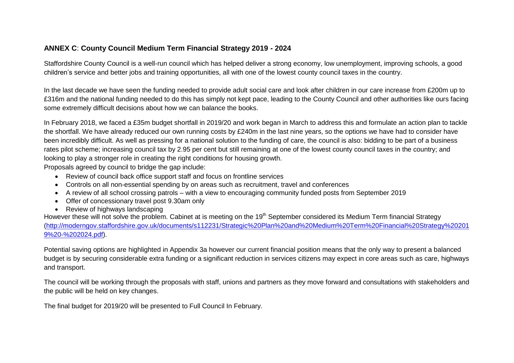### **ANNEX C**: **County Council Medium Term Financial Strategy 2019 - 2024**

Staffordshire County Council is a well-run council which has helped deliver a strong economy, low unemployment, improving schools, a good children's service and better jobs and training opportunities, all with one of the lowest county council taxes in the country.

In the last decade we have seen the funding needed to provide adult social care and look after children in our care increase from £200m up to £316m and the national funding needed to do this has simply not kept pace, leading to the County Council and other authorities like ours facing some extremely difficult decisions about how we can balance the books.

In February 2018, we faced a £35m budget shortfall in 2019/20 and work began in March to address this and formulate an action plan to tackle the shortfall. We have already reduced our own running costs by £240m in the last nine years, so the options we have had to consider have been incredibly difficult. As well as pressing for a national solution to the funding of care, the council is also: bidding to be part of a business rates pilot scheme; increasing council tax by 2.95 per cent but still remaining at one of the lowest county council taxes in the country; and looking to play a stronger role in creating the right conditions for housing growth.

Proposals agreed by council to bridge the gap include:

- Review of council back office support staff and focus on frontline services
- Controls on all non-essential spending by on areas such as recruitment, travel and conferences
- A review of all school crossing patrols with a view to encouraging community funded posts from September 2019
- Offer of concessionary travel post 9.30am only
- Review of highways landscaping

However these will not solve the problem. Cabinet at is meeting on the 19<sup>th</sup> September considered its Medium Term financial Strategy [\(http://moderngov.staffordshire.gov.uk/documents/s112231/Strategic%20Plan%20and%20Medium%20Term%20Financial%20Strategy%20201](http://moderngov.staffordshire.gov.uk/documents/s112231/Strategic%20Plan%20and%20Medium%20Term%20Financial%20Strategy%202019%20-%202024.pdf) [9%20-%202024.pdf\)](http://moderngov.staffordshire.gov.uk/documents/s112231/Strategic%20Plan%20and%20Medium%20Term%20Financial%20Strategy%202019%20-%202024.pdf).

Potential saving options are highlighted in Appendix 3a however our current financial position means that the only way to present a balanced budget is by securing considerable extra funding or a significant reduction in services citizens may expect in core areas such as care, highways and transport.

The council will be working through the proposals with staff, unions and partners as they move forward and consultations with stakeholders and the public will be held on key changes.

The final budget for 2019/20 will be presented to Full Council In February.